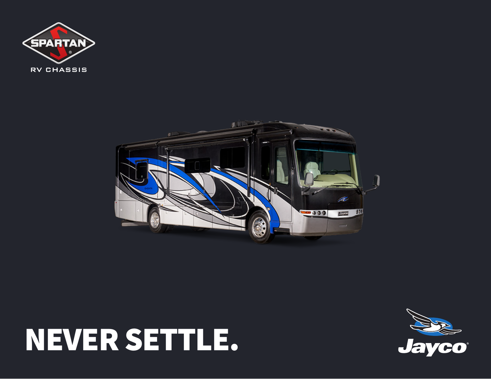



# NEVER SETTLE.